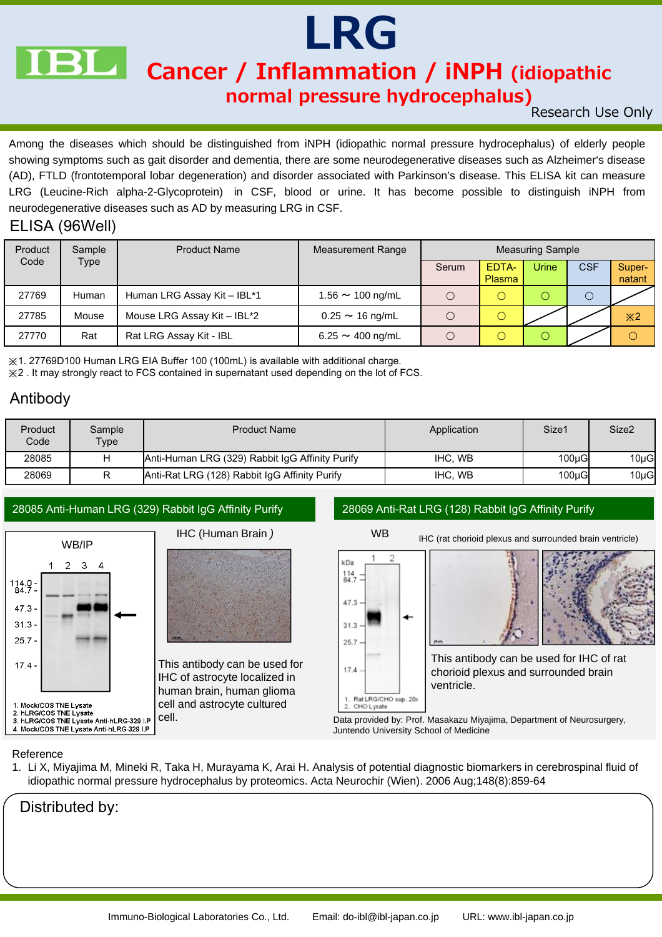

## LRG

Cancer / Inflammation / iNPH (idiopathic

#### normal pressure hydrocephalus)

Research Use Only

Among the diseases which should be distinguished from iNPH (idiopathic normal pressure hydrocephalus) of elderly people showing symptoms such as gait disorder and dementia, there are some neurodegenerative diseases such as Alzheimer's disease (AD), FTLD (frontotemporal lobar degeneration) and disorder associated with Parkinson's disease. This ELISA kit can measure LRG (Leucine-Rich alpha-2-Glycoprotein) in CSF, blood or urine. It has become possible to distinguish iNPH from neurodegenerative diseases such as AD by measuring LRG in CSF.

#### ELISA (96Well)

| Product | Sample | <b>Product Name</b>         | <b>Measurement Range</b>      | <b>Measuring Sample</b> |                        |       |            |                                               |
|---------|--------|-----------------------------|-------------------------------|-------------------------|------------------------|-------|------------|-----------------------------------------------|
| Code    | Type   |                             |                               | Serum                   | EDTA-<br><b>Plasma</b> | Urine | <b>CSF</b> | Super-<br>natant                              |
| 27769   | Human  | Human LRG Assay Kit - IBL*1 | $1.56 \sim 100$ ng/mL         |                         |                        |       |            |                                               |
| 27785   | Mouse  | Mouse LRG Assay Kit - IBL*2 | $0.25 \sim 16$ ng/mL          |                         |                        |       |            | $\divideontimes$ 2                            |
| 27770   | Rat    | Rat LRG Assay Kit - IBL     | $6.25 \sim 400 \text{ ng/mL}$ |                         |                        |       |            | $\left( \begin{array}{c} \end{array} \right)$ |

※1. 27769D100 Human LRG EIA Buffer 100 (100mL) is available with additional charge. ※2 . It may strongly react to FCS contained in supernatant used depending on the lot of FCS.

#### Antibody

| Product<br>Code | Sample<br>Type | <b>Product Name</b>                             | Application | Size1     | Size <sub>2</sub> |
|-----------------|----------------|-------------------------------------------------|-------------|-----------|-------------------|
| 28085           |                | Anti-Human LRG (329) Rabbit IgG Affinity Purify | IHC. WB     | $100u$ GI | $10\mu G$         |
| 28069           |                | Anti-Rat LRG (128) Rabbit IgG Affinity Purify   | IHC. WB     | $100u$ GI | $10\mu G$         |

#### 28085 Anti-Human LRG (329) Rabbit IgG Affinity Purify 28069 Anti-Rat LRG (128) Rabbit IgG Affinity Purify



# IHC (Human Brain )

This antibody can be used for IHC of astrocyte localized in human brain, human glioma cell and astrocyte cultured



cell. Data provided by: Prof. Masakazu Miyajima, Department of Neurosurgery, Juntendo University School of Medicine

#### Reference

1. Li X, Miyajima M, Mineki R, Taka H, Murayama K, Arai H. Analysis of potential diagnostic biomarkers in cerebrospinal fluid of idiopathic normal pressure hydrocephalus by proteomics. Acta Neurochir (Wien). 2006 Aug;148(8):859-64

Distributed by: